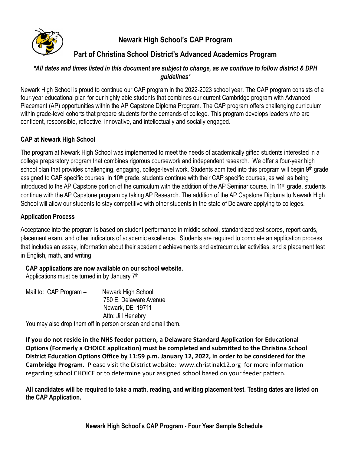

# **Newark High School's CAP Program**

# **Part of Christina School District's Advanced Academics Program**

#### *\*All dates and times listed in this document are subject to change, as we continue to follow district & DPH guidelines\**

Newark High School is proud to continue our CAP program in the 2022-2023 school year. The CAP program consists of a four-year educational plan for our highly able students that combines our current Cambridge program with Advanced Placement (AP) opportunities within the AP Capstone Diploma Program. The CAP program offers challenging curriculum within grade-level cohorts that prepare students for the demands of college. This program develops leaders who are confident, responsible, reflective, innovative, and intellectually and socially engaged.

# **CAP at Newark High School**

The program at Newark High School was implemented to meet the needs of academically gifted students interested in a college preparatory program that combines rigorous coursework and independent research. We offer a four-year high school plan that provides challenging, engaging, college-level work. Students admitted into this program will begin 9<sup>th</sup> grade assigned to CAP specific courses. In 10<sup>th</sup> grade, students continue with their CAP specific courses, as well as being introduced to the AP Capstone portion of the curriculum with the addition of the AP Seminar course. In 11<sup>th</sup> grade, students continue with the AP Capstone program by taking AP Research. The addition of the AP Capstone Diploma to Newark High School will allow our students to stay competitive with other students in the state of Delaware applying to colleges.

## **Application Process**

Acceptance into the program is based on student performance in middle school, standardized test scores, report cards, placement exam, and other indicators of academic excellence. Students are required to complete an application process that includes an essay, information about their academic achievements and extracurricular activities, and a placement test in English, math, and writing.

## **CAP applications are now available on our school website.**

Applications must be turned in by January 7<sup>th</sup>

| Mail to: CAP Program $-$ | Newark High School                                           |
|--------------------------|--------------------------------------------------------------|
|                          | 750 E. Delaware Avenue                                       |
|                          | Newark, DE 19711                                             |
|                          | Attn: Jill Henebry                                           |
|                          | You may also drop them off in person or scan and email them. |

**If you do not reside in the NHS feeder pattern, a Delaware Standard Application for Educational Options (Formerly a CHOICE application) must be completed and submitted to the Christina School District Education Options Office by 11:59 p.m. January 12, 2022, in order to be considered for the Cambridge Program.** Please visit the District website: [www.christinak12.org](http://www.christinak12.org/) for more information regarding school CHOICE or to determine your assigned school based on your feeder pattern.

**All candidates will be required to take a math, reading, and writing placement test. Testing dates are listed on the CAP Application.**